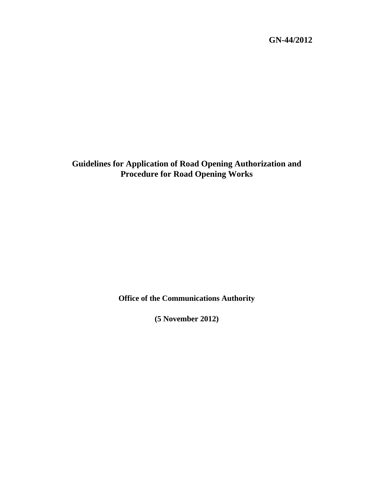**GN-44/2012** 

**Guidelines for Application of Road Opening Authorization and Procedure for Road Opening Works** 

**Office of the Communications Authority** 

**(5 November 2012)**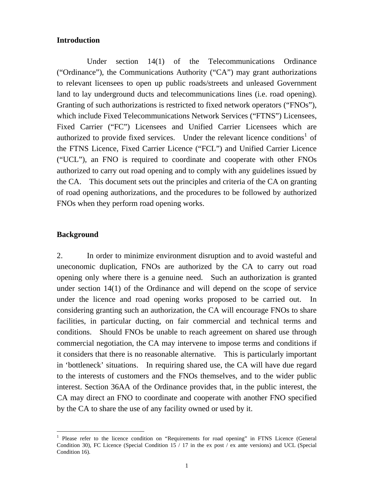### **Introduction**

 Under section 14(1) of the Telecommunications Ordinance ("Ordinance"), the Communications Authority ("CA") may grant authorizations to relevant licensees to open up public roads/streets and unleased Government land to lay underground ducts and telecommunications lines (i.e. road opening). Granting of such authorizations is restricted to fixed network operators ("FNOs"), which include Fixed Telecommunications Network Services ("FTNS") Licensees, Fixed Carrier ("FC") Licensees and Unified Carrier Licensees which are authorized to provide fixed services. Under the relevant licence conditions<sup>[1](#page-1-0)</sup> of the FTNS Licence, Fixed Carrier Licence ("FCL") and Unified Carrier Licence ("UCL"), an FNO is required to coordinate and cooperate with other FNOs authorized to carry out road opening and to comply with any guidelines issued by the CA. This document sets out the principles and criteria of the CA on granting of road opening authorizations, and the procedures to be followed by authorized FNOs when they perform road opening works.

### **Background**

 $\overline{a}$ 

2. In order to minimize environment disruption and to avoid wasteful and uneconomic duplication, FNOs are authorized by the CA to carry out road opening only where there is a genuine need. Such an authorization is granted under section 14(1) of the Ordinance and will depend on the scope of service under the licence and road opening works proposed to be carried out. In considering granting such an authorization, the CA will encourage FNOs to share facilities, in particular ducting, on fair commercial and technical terms and conditions. Should FNOs be unable to reach agreement on shared use through commercial negotiation, the CA may intervene to impose terms and conditions if it considers that there is no reasonable alternative. This is particularly important in 'bottleneck' situations. In requiring shared use, the CA will have due regard to the interests of customers and the FNOs themselves, and to the wider public interest. Section 36AA of the Ordinance provides that, in the public interest, the CA may direct an FNO to coordinate and cooperate with another FNO specified by the CA to share the use of any facility owned or used by it.

<span id="page-1-0"></span><sup>&</sup>lt;sup>1</sup> Please refer to the licence condition on "Requirements for road opening" in FTNS Licence (General Condition 30), FC Licence (Special Condition 15 / 17 in the ex post / ex ante versions) and UCL (Special Condition 16).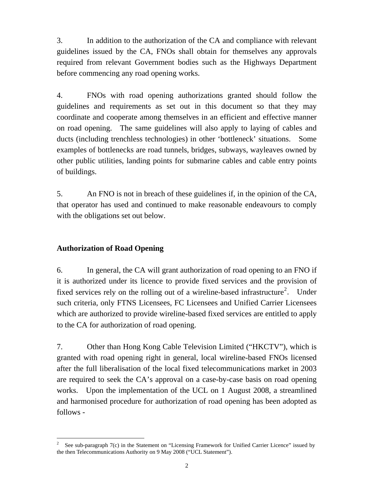3. In addition to the authorization of the CA and compliance with relevant guidelines issued by the CA, FNOs shall obtain for themselves any approvals required from relevant Government bodies such as the Highways Department before commencing any road opening works.

4. FNOs with road opening authorizations granted should follow the guidelines and requirements as set out in this document so that they may coordinate and cooperate among themselves in an efficient and effective manner on road opening. The same guidelines will also apply to laying of cables and ducts (including trenchless technologies) in other 'bottleneck' situations. Some examples of bottlenecks are road tunnels, bridges, subways, wayleaves owned by other public utilities, landing points for submarine cables and cable entry points of buildings.

5. An FNO is not in breach of these guidelines if, in the opinion of the CA, that operator has used and continued to make reasonable endeavours to comply with the obligations set out below.

# **Authorization of Road Opening**

 $\overline{a}$ 

6. In general, the CA will grant authorization of road opening to an FNO if it is authorized under its licence to provide fixed services and the provision of fixed services rely on the rolling out of a wireline-based infrastructure<sup>[2](#page-2-0)</sup>. Under such criteria, only FTNS Licensees, FC Licensees and Unified Carrier Licensees which are authorized to provide wireline-based fixed services are entitled to apply to the CA for authorization of road opening.

7. Other than Hong Kong Cable Television Limited ("HKCTV"), which is granted with road opening right in general, local wireline-based FNOs licensed after the full liberalisation of the local fixed telecommunications market in 2003 are required to seek the CA's approval on a case-by-case basis on road opening works. Upon the implementation of the UCL on 1 August 2008, a streamlined and harmonised procedure for authorization of road opening has been adopted as follows -

<span id="page-2-0"></span><sup>2</sup> See sub-paragraph 7(c) in the Statement on "Licensing Framework for Unified Carrier Licence" issued by the then Telecommunications Authority on 9 May 2008 ("UCL Statement").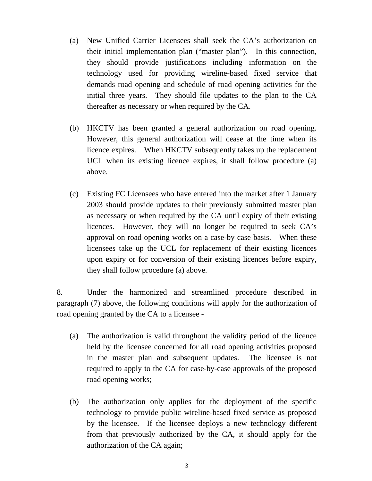- (a) New Unified Carrier Licensees shall seek the CA's authorization on their initial implementation plan ("master plan"). In this connection, they should provide justifications including information on the technology used for providing wireline-based fixed service that demands road opening and schedule of road opening activities for the initial three years. They should file updates to the plan to the CA thereafter as necessary or when required by the CA.
- (b) HKCTV has been granted a general authorization on road opening. However, this general authorization will cease at the time when its licence expires. When HKCTV subsequently takes up the replacement UCL when its existing licence expires, it shall follow procedure (a) above.
- (c) Existing FC Licensees who have entered into the market after 1 January 2003 should provide updates to their previously submitted master plan as necessary or when required by the CA until expiry of their existing licences. However, they will no longer be required to seek CA's approval on road opening works on a case-by case basis. When these licensees take up the UCL for replacement of their existing licences upon expiry or for conversion of their existing licences before expiry, they shall follow procedure (a) above.

8. Under the harmonized and streamlined procedure described in paragraph (7) above, the following conditions will apply for the authorization of road opening granted by the CA to a licensee -

- (a) The authorization is valid throughout the validity period of the licence held by the licensee concerned for all road opening activities proposed in the master plan and subsequent updates. The licensee is not required to apply to the CA for case-by-case approvals of the proposed road opening works;
- (b) The authorization only applies for the deployment of the specific technology to provide public wireline-based fixed service as proposed by the licensee. If the licensee deploys a new technology different from that previously authorized by the CA, it should apply for the authorization of the CA again;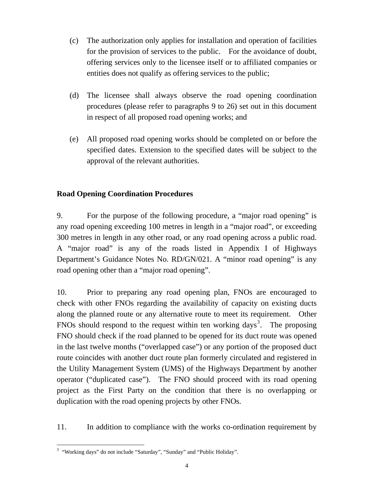- (c) The authorization only applies for installation and operation of facilities for the provision of services to the public. For the avoidance of doubt, offering services only to the licensee itself or to affiliated companies or entities does not qualify as offering services to the public;
- (d) The licensee shall always observe the road opening coordination procedures (please refer to paragraphs 9 to 26) set out in this document in respect of all proposed road opening works; and
- (e) All proposed road opening works should be completed on or before the specified dates. Extension to the specified dates will be subject to the approval of the relevant authorities.

# **Road Opening Coordination Procedures**

9. For the purpose of the following procedure, a "major road opening" is any road opening exceeding 100 metres in length in a "major road", or exceeding 300 metres in length in any other road, or any road opening across a public road. A "major road" is any of the roads listed in Appendix I of Highways Department's Guidance Notes No. RD/GN/021. A "minor road opening" is any road opening other than a "major road opening".

10. Prior to preparing any road opening plan, FNOs are encouraged to check with other FNOs regarding the availability of capacity on existing ducts along the planned route or any alternative route to meet its requirement. Other FNOs should respond to the request within ten working days<sup>[3](#page-4-0)</sup>. The proposing FNO should check if the road planned to be opened for its duct route was opened in the last twelve months ("overlapped case") or any portion of the proposed duct route coincides with another duct route plan formerly circulated and registered in the Utility Management System (UMS) of the Highways Department by another operator ("duplicated case"). The FNO should proceed with its road opening project as the First Party on the condition that there is no overlapping or duplication with the road opening projects by other FNOs.

11. In addition to compliance with the works co-ordination requirement by

<span id="page-4-0"></span> $\overline{a}$ <sup>3</sup> "Working days" do not include "Saturday", "Sunday" and "Public Holiday".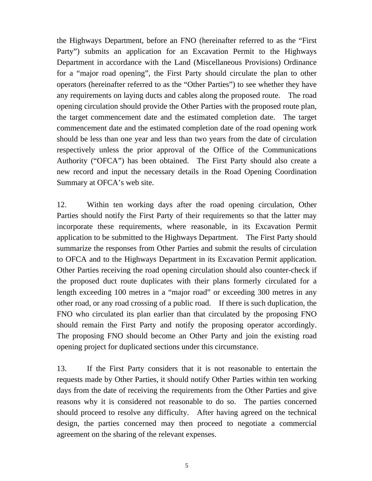the Highways Department, before an FNO (hereinafter referred to as the "First Party") submits an application for an Excavation Permit to the Highways Department in accordance with the Land (Miscellaneous Provisions) Ordinance for a "major road opening", the First Party should circulate the plan to other operators (hereinafter referred to as the "Other Parties") to see whether they have any requirements on laying ducts and cables along the proposed route. The road opening circulation should provide the Other Parties with the proposed route plan, the target commencement date and the estimated completion date. The target commencement date and the estimated completion date of the road opening work should be less than one year and less than two years from the date of circulation respectively unless the prior approval of the Office of the Communications Authority ("OFCA") has been obtained. The First Party should also create a new record and input the necessary details in the Road Opening Coordination Summary at OFCA's web site.

12. Within ten working days after the road opening circulation, Other Parties should notify the First Party of their requirements so that the latter may incorporate these requirements, where reasonable, in its Excavation Permit application to be submitted to the Highways Department. The First Party should summarize the responses from Other Parties and submit the results of circulation to OFCA and to the Highways Department in its Excavation Permit application. Other Parties receiving the road opening circulation should also counter-check if the proposed duct route duplicates with their plans formerly circulated for a length exceeding 100 metres in a "major road" or exceeding 300 metres in any other road, or any road crossing of a public road. If there is such duplication, the FNO who circulated its plan earlier than that circulated by the proposing FNO should remain the First Party and notify the proposing operator accordingly. The proposing FNO should become an Other Party and join the existing road opening project for duplicated sections under this circumstance.

13. If the First Party considers that it is not reasonable to entertain the requests made by Other Parties, it should notify Other Parties within ten working days from the date of receiving the requirements from the Other Parties and give reasons why it is considered not reasonable to do so. The parties concerned should proceed to resolve any difficulty. After having agreed on the technical design, the parties concerned may then proceed to negotiate a commercial agreement on the sharing of the relevant expenses.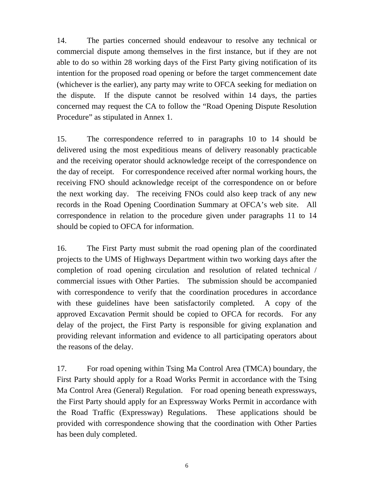14. The parties concerned should endeavour to resolve any technical or commercial dispute among themselves in the first instance, but if they are not able to do so within 28 working days of the First Party giving notification of its intention for the proposed road opening or before the target commencement date (whichever is the earlier), any party may write to OFCA seeking for mediation on the dispute. If the dispute cannot be resolved within 14 days, the parties concerned may request the CA to follow the "Road Opening Dispute Resolution Procedure" as stipulated in Annex 1.

15. The correspondence referred to in paragraphs 10 to 14 should be delivered using the most expeditious means of delivery reasonably practicable and the receiving operator should acknowledge receipt of the correspondence on the day of receipt. For correspondence received after normal working hours, the receiving FNO should acknowledge receipt of the correspondence on or before the next working day. The receiving FNOs could also keep track of any new records in the Road Opening Coordination Summary at OFCA's web site. All correspondence in relation to the procedure given under paragraphs 11 to 14 should be copied to OFCA for information.

16. The First Party must submit the road opening plan of the coordinated projects to the UMS of Highways Department within two working days after the completion of road opening circulation and resolution of related technical / commercial issues with Other Parties. The submission should be accompanied with correspondence to verify that the coordination procedures in accordance with these guidelines have been satisfactorily completed. A copy of the approved Excavation Permit should be copied to OFCA for records. For any delay of the project, the First Party is responsible for giving explanation and providing relevant information and evidence to all participating operators about the reasons of the delay.

17. For road opening within Tsing Ma Control Area (TMCA) boundary, the First Party should apply for a Road Works Permit in accordance with the Tsing Ma Control Area (General) Regulation. For road opening beneath expressways, the First Party should apply for an Expressway Works Permit in accordance with the Road Traffic (Expressway) Regulations. These applications should be provided with correspondence showing that the coordination with Other Parties has been duly completed.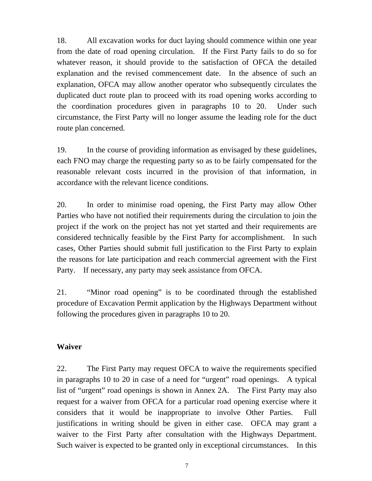18. All excavation works for duct laying should commence within one year from the date of road opening circulation. If the First Party fails to do so for whatever reason, it should provide to the satisfaction of OFCA the detailed explanation and the revised commencement date. In the absence of such an explanation, OFCA may allow another operator who subsequently circulates the duplicated duct route plan to proceed with its road opening works according to the coordination procedures given in paragraphs 10 to 20. Under such circumstance, the First Party will no longer assume the leading role for the duct route plan concerned.

19. In the course of providing information as envisaged by these guidelines, each FNO may charge the requesting party so as to be fairly compensated for the reasonable relevant costs incurred in the provision of that information, in accordance with the relevant licence conditions.

20. In order to minimise road opening, the First Party may allow Other Parties who have not notified their requirements during the circulation to join the project if the work on the project has not yet started and their requirements are considered technically feasible by the First Party for accomplishment. In such cases, Other Parties should submit full justification to the First Party to explain the reasons for late participation and reach commercial agreement with the First Party. If necessary, any party may seek assistance from OFCA.

21. "Minor road opening" is to be coordinated through the established procedure of Excavation Permit application by the Highways Department without following the procedures given in paragraphs 10 to 20.

# **Waiver**

22. The First Party may request OFCA to waive the requirements specified in paragraphs 10 to 20 in case of a need for "urgent" road openings. A typical list of "urgent" road openings is shown in Annex 2A. The First Party may also request for a waiver from OFCA for a particular road opening exercise where it considers that it would be inappropriate to involve Other Parties. Full justifications in writing should be given in either case. OFCA may grant a waiver to the First Party after consultation with the Highways Department. Such waiver is expected to be granted only in exceptional circumstances. In this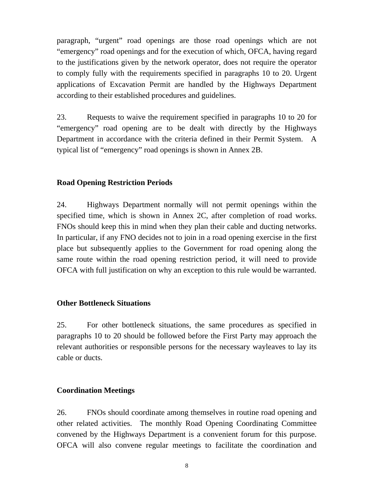paragraph, "urgent" road openings are those road openings which are not "emergency" road openings and for the execution of which, OFCA, having regard to the justifications given by the network operator, does not require the operator to comply fully with the requirements specified in paragraphs 10 to 20. Urgent applications of Excavation Permit are handled by the Highways Department according to their established procedures and guidelines.

23. Requests to waive the requirement specified in paragraphs 10 to 20 for "emergency" road opening are to be dealt with directly by the Highways Department in accordance with the criteria defined in their Permit System. A typical list of "emergency" road openings is shown in Annex 2B.

### **Road Opening Restriction Periods**

24. Highways Department normally will not permit openings within the specified time, which is shown in Annex 2C, after completion of road works. FNOs should keep this in mind when they plan their cable and ducting networks. In particular, if any FNO decides not to join in a road opening exercise in the first place but subsequently applies to the Government for road opening along the same route within the road opening restriction period, it will need to provide OFCA with full justification on why an exception to this rule would be warranted.

### **Other Bottleneck Situations**

25. For other bottleneck situations, the same procedures as specified in paragraphs 10 to 20 should be followed before the First Party may approach the relevant authorities or responsible persons for the necessary wayleaves to lay its cable or ducts.

### **Coordination Meetings**

26. FNOs should coordinate among themselves in routine road opening and other related activities. The monthly Road Opening Coordinating Committee convened by the Highways Department is a convenient forum for this purpose. OFCA will also convene regular meetings to facilitate the coordination and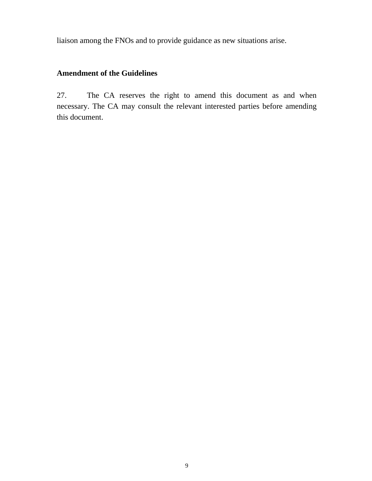liaison among the FNOs and to provide guidance as new situations arise.

# **Amendment of the Guidelines**

27. The CA reserves the right to amend this document as and when necessary. The CA may consult the relevant interested parties before amending this document.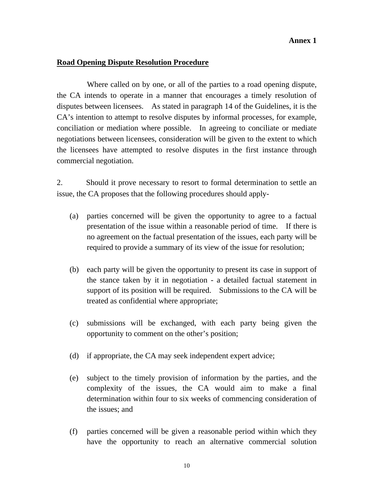#### **Annex 1**

### **Road Opening Dispute Resolution Procedure**

 Where called on by one, or all of the parties to a road opening dispute, the CA intends to operate in a manner that encourages a timely resolution of disputes between licensees. As stated in paragraph 14 of the Guidelines, it is the CA's intention to attempt to resolve disputes by informal processes, for example, conciliation or mediation where possible. In agreeing to conciliate or mediate negotiations between licensees, consideration will be given to the extent to which the licensees have attempted to resolve disputes in the first instance through commercial negotiation.

2. Should it prove necessary to resort to formal determination to settle an issue, the CA proposes that the following procedures should apply-

- (a) parties concerned will be given the opportunity to agree to a factual presentation of the issue within a reasonable period of time. If there is no agreement on the factual presentation of the issues, each party will be required to provide a summary of its view of the issue for resolution;
- (b) each party will be given the opportunity to present its case in support of the stance taken by it in negotiation - a detailed factual statement in support of its position will be required. Submissions to the CA will be treated as confidential where appropriate;
- (c) submissions will be exchanged, with each party being given the opportunity to comment on the other's position;
- (d) if appropriate, the CA may seek independent expert advice;
- (e) subject to the timely provision of information by the parties, and the complexity of the issues, the CA would aim to make a final determination within four to six weeks of commencing consideration of the issues; and
- (f) parties concerned will be given a reasonable period within which they have the opportunity to reach an alternative commercial solution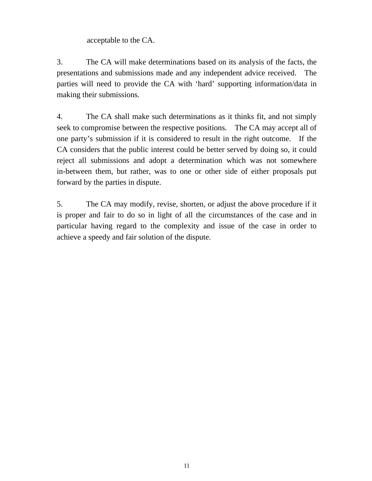acceptable to the CA.

3. The CA will make determinations based on its analysis of the facts, the presentations and submissions made and any independent advice received. The parties will need to provide the CA with 'hard' supporting information/data in making their submissions.

4. The CA shall make such determinations as it thinks fit, and not simply seek to compromise between the respective positions. The CA may accept all of one party's submission if it is considered to result in the right outcome. If the CA considers that the public interest could be better served by doing so, it could reject all submissions and adopt a determination which was not somewhere in-between them, but rather, was to one or other side of either proposals put forward by the parties in dispute.

5. The CA may modify, revise, shorten, or adjust the above procedure if it is proper and fair to do so in light of all the circumstances of the case and in particular having regard to the complexity and issue of the case in order to achieve a speedy and fair solution of the dispute.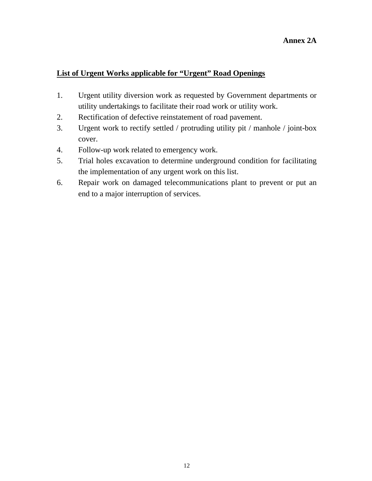### **List of Urgent Works applicable for "Urgent" Road Openings**

- 1. Urgent utility diversion work as requested by Government departments or utility undertakings to facilitate their road work or utility work.
- 2. Rectification of defective reinstatement of road pavement.
- 3. Urgent work to rectify settled / protruding utility pit / manhole / joint-box cover.
- 4. Follow-up work related to emergency work.
- 5. Trial holes excavation to determine underground condition for facilitating the implementation of any urgent work on this list.
- 6. Repair work on damaged telecommunications plant to prevent or put an end to a major interruption of services.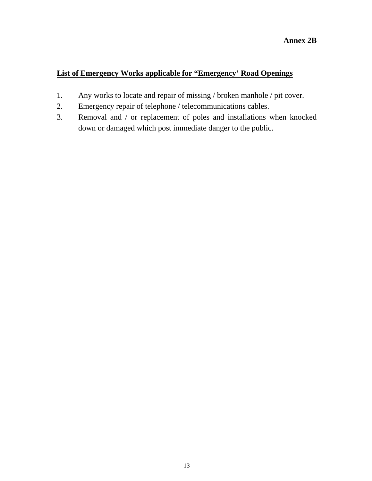# **List of Emergency Works applicable for "Emergency' Road Openings**

- 1. Any works to locate and repair of missing / broken manhole / pit cover.
- 2. Emergency repair of telephone / telecommunications cables.
- 3. Removal and / or replacement of poles and installations when knocked down or damaged which post immediate danger to the public.